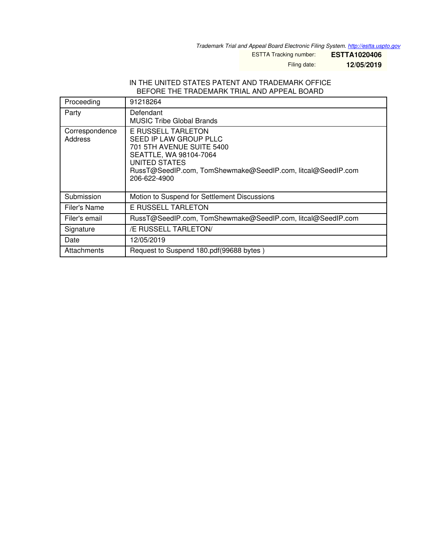*Trademark Trial and Appeal Board Electronic Filing System. <http://estta.uspto.gov>*

ESTTA Tracking number: **ESTTA1020406**

Filing date: **12/05/2019**

#### IN THE UNITED STATES PATENT AND TRADEMARK OFFICE BEFORE THE TRADEMARK TRIAL AND APPEAL BOARD

| Proceeding                | 91218264                                                                                                                                                                                            |
|---------------------------|-----------------------------------------------------------------------------------------------------------------------------------------------------------------------------------------------------|
| Party                     | Defendant<br><b>MUSIC Tribe Global Brands</b>                                                                                                                                                       |
| Correspondence<br>Address | E RUSSELL TARLETON<br>SEED IP LAW GROUP PLLC<br>701 5TH AVENUE SUITE 5400<br>SEATTLE, WA 98104-7064<br>UNITED STATES<br>RussT@SeedIP.com, TomShewmake@SeedIP.com, litcal@SeedIP.com<br>206-622-4900 |
| Submission                | Motion to Suspend for Settlement Discussions                                                                                                                                                        |
| Filer's Name              | E RUSSELL TARLETON                                                                                                                                                                                  |
| Filer's email             | RussT@SeedIP.com, TomShewmake@SeedIP.com, litcal@SeedIP.com                                                                                                                                         |
| Signature                 | /E RUSSELL TARLETON/                                                                                                                                                                                |
| Date                      | 12/05/2019                                                                                                                                                                                          |
| Attachments               | Request to Suspend 180.pdf(99688 bytes)                                                                                                                                                             |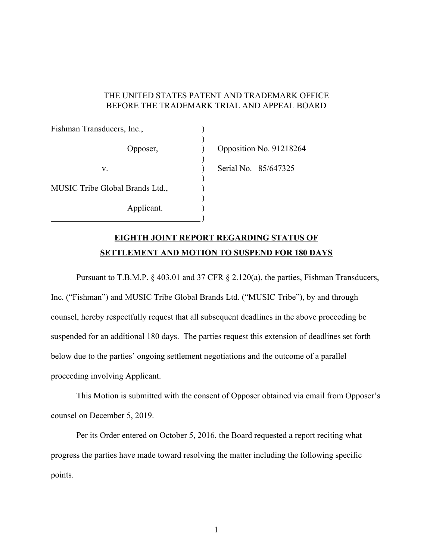### THE UNITED STATES PATENT AND TRADEMARK OFFICE BEFORE THE TRADEMARK TRIAL AND APPEAL BOARD

| Fishman Transducers, Inc.,      |                      |                         |
|---------------------------------|----------------------|-------------------------|
| Opposer,                        |                      | Opposition No. 91218264 |
| V.                              | Serial No. 85/647325 |                         |
| MUSIC Tribe Global Brands Ltd., |                      |                         |
| Applicant.                      |                      |                         |

# **EIGHTH JOINT REPORT REGARDING STATUS OF SETTLEMENT AND MOTION TO SUSPEND FOR 180 DAYS**

 Pursuant to T.B.M.P. § 403.01 and 37 CFR § 2.120(a), the parties, Fishman Transducers, Inc. ("Fishman") and MUSIC Tribe Global Brands Ltd. ("MUSIC Tribe"), by and through counsel, hereby respectfully request that all subsequent deadlines in the above proceeding be suspended for an additional 180 days. The parties request this extension of deadlines set forth below due to the parties' ongoing settlement negotiations and the outcome of a parallel proceeding involving Applicant.

 This Motion is submitted with the consent of Opposer obtained via email from Opposer's counsel on December 5, 2019.

 Per its Order entered on October 5, 2016, the Board requested a report reciting what progress the parties have made toward resolving the matter including the following specific points.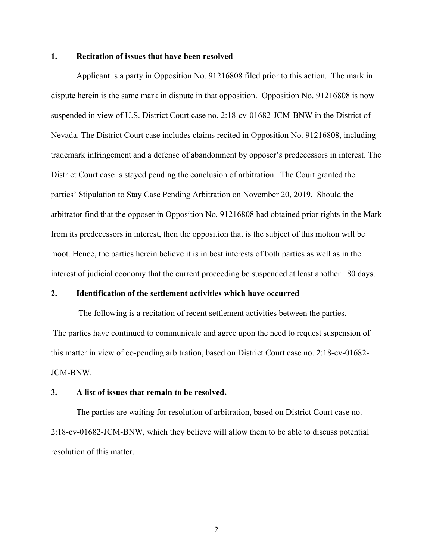#### **1. Recitation of issues that have been resolved**

Applicant is a party in Opposition No. 91216808 filed prior to this action. The mark in dispute herein is the same mark in dispute in that opposition. Opposition No. 91216808 is now suspended in view of U.S. District Court case no. 2:18-cv-01682-JCM-BNW in the District of Nevada. The District Court case includes claims recited in Opposition No. 91216808, including trademark infringement and a defense of abandonment by opposer's predecessors in interest. The District Court case is stayed pending the conclusion of arbitration. The Court granted the parties' Stipulation to Stay Case Pending Arbitration on November 20, 2019. Should the arbitrator find that the opposer in Opposition No. 91216808 had obtained prior rights in the Mark from its predecessors in interest, then the opposition that is the subject of this motion will be moot. Hence, the parties herein believe it is in best interests of both parties as well as in the interest of judicial economy that the current proceeding be suspended at least another 180 days.

## **2. Identification of the settlement activities which have occurred**

 The following is a recitation of recent settlement activities between the parties. The parties have continued to communicate and agree upon the need to request suspension of this matter in view of co-pending arbitration, based on District Court case no. 2:18-cv-01682- JCM-BNW.

## **3. A list of issues that remain to be resolved.**

 The parties are waiting for resolution of arbitration, based on District Court case no. 2:18-cv-01682-JCM-BNW, which they believe will allow them to be able to discuss potential resolution of this matter.

2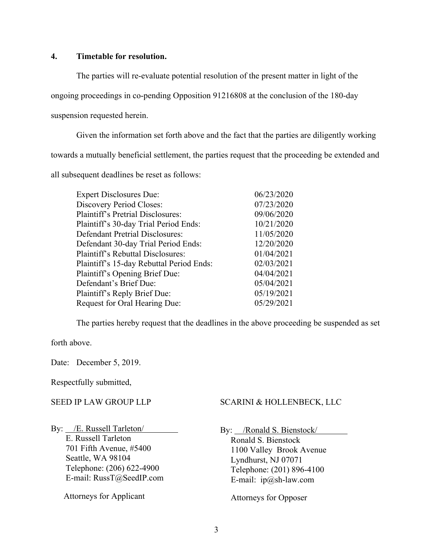## **4. Timetable for resolution.**

 The parties will re-evaluate potential resolution of the present matter in light of the ongoing proceedings in co-pending Opposition 91216808 at the conclusion of the 180-day suspension requested herein.

 Given the information set forth above and the fact that the parties are diligently working towards a mutually beneficial settlement, the parties request that the proceeding be extended and all subsequent deadlines be reset as follows:

| <b>Expert Disclosures Due:</b>           | 06/23/2020 |
|------------------------------------------|------------|
| <b>Discovery Period Closes:</b>          | 07/23/2020 |
| <b>Plaintiff's Pretrial Disclosures:</b> | 09/06/2020 |
| Plaintiff's 30-day Trial Period Ends:    | 10/21/2020 |
| <b>Defendant Pretrial Disclosures:</b>   | 11/05/2020 |
| Defendant 30-day Trial Period Ends:      | 12/20/2020 |
| Plaintiff's Rebuttal Disclosures:        | 01/04/2021 |
| Plaintiff's 15-day Rebuttal Period Ends: | 02/03/2021 |
| Plaintiff's Opening Brief Due:           | 04/04/2021 |
| Defendant's Brief Due:                   | 05/04/2021 |
| Plaintiff's Reply Brief Due:             | 05/19/2021 |
| Request for Oral Hearing Due:            | 05/29/2021 |
|                                          |            |

The parties hereby request that the deadlines in the above proceeding be suspended as set

forth above.

Date: December 5, 2019.

Respectfully submitted,

# SEED IP LAW GROUP LLP

By: /E. Russell Tarleton/ E. Russell Tarleton 701 Fifth Avenue, #5400 Seattle, WA 98104 Telephone: (206) 622-4900 E-mail: RussT@SeedIP.com

Attorneys for Applicant

# SCARINI & HOLLENBECK, LLC

By: /Ronald S. Bienstock/

 Ronald S. Bienstock 1100 Valley Brook Avenue Lyndhurst, NJ 07071 Telephone: (201) 896-4100 E-mail: ip@sh-law.com

Attorneys for Opposer